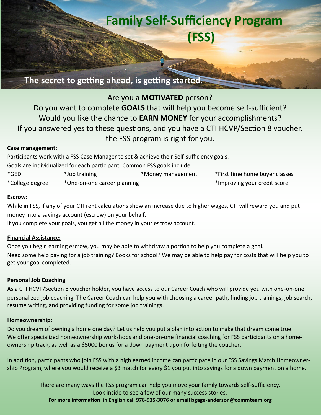# **Family Self-Sufficiency Program (FSS)**

**The secret to getting ahead, is getting started.**

# Are you a **MOTIVATED** person?

Do you want to complete **GOALS** that will help you become self-sufficient? Would you like the chance to **EARN MONEY** for your accomplishments? If you answered yes to these questions, and you have a CTI HCVP/Section 8 voucher, the FSS program is right for you.

#### **Case management:**

Participants work with a FSS Case Manager to set & achieve their Self-sufficiency goals.

Goals are individualized for each participant. Common FSS goals include:

| *GED            | *Job training               | *Money management | *First time home buyer classes |
|-----------------|-----------------------------|-------------------|--------------------------------|
| *College degree | *One-on-one career planning |                   | *Improving your credit score   |

#### **Escrow:**

While in FSS, if any of your CTI rent calculations show an increase due to higher wages, CTI will reward you and put money into a savings account (escrow) on your behalf.

If you complete your goals, you get all the money in your escrow account.

#### **Financial Assistance:**

Once you begin earning escrow, you may be able to withdraw a portion to help you complete a goal. Need some help paying for a job training? Books for school? We may be able to help pay for costs that will help you to get your goal completed.

#### **Personal Job Coaching**

As a CTI HCVP/Section 8 voucher holder, you have access to our Career Coach who will provide you with one-on-one personalized job coaching. The Career Coach can help you with choosing a career path, finding job trainings, job search, resume writing, and providing funding for some job trainings.

#### **Homeownership:**

Do you dream of owning a home one day? Let us help you put a plan into action to make that dream come true. We offer specialized homeownership workshops and one-on-one financial coaching for FSS participants on a homeownership track, as well as a \$5000 bonus for a down payment upon forfeiting the voucher.

In addition, participants who join FSS with a high earned income can participate in our FSS Savings Match Homeownership Program, where you would receive a \$3 match for every \$1 you put into savings for a down payment on a home.

> There are many ways the FSS program can help you move your family towards self-sufficiency. Look inside to see a few of our many success stories.

**For more information in English call 978-935-3076 or email bgage-anderson@commteam.org**